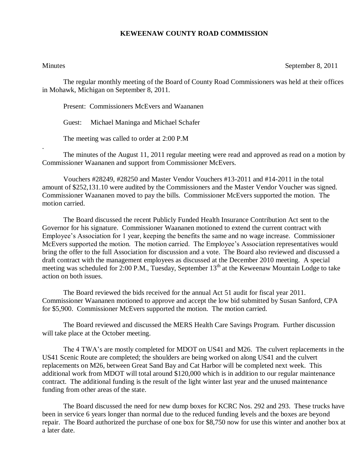## **KEWEENAW COUNTY ROAD COMMISSION**

.

Minutes September 8, 2011

The regular monthly meeting of the Board of County Road Commissioners was held at their offices in Mohawk, Michigan on September 8, 2011.

Present: Commissioners McEvers and Waananen

Guest: Michael Maninga and Michael Schafer

The meeting was called to order at 2:00 P.M

The minutes of the August 11, 2011 regular meeting were read and approved as read on a motion by Commissioner Waananen and support from Commissioner McEvers.

Vouchers #28249, #28250 and Master Vendor Vouchers #13-2011 and #14-2011 in the total amount of \$252,131.10 were audited by the Commissioners and the Master Vendor Voucher was signed. Commissioner Waananen moved to pay the bills. Commissioner McEvers supported the motion. The motion carried.

The Board discussed the recent Publicly Funded Health Insurance Contribution Act sent to the Governor for his signature. Commissioner Waananen motioned to extend the current contract with Employee's Association for 1 year, keeping the benefits the same and no wage increase. Commissioner McEvers supported the motion. The motion carried. The Employee's Association representatives would bring the offer to the full Association for discussion and a vote. The Board also reviewed and discussed a draft contract with the management employees as discussed at the December 2010 meeting. A special meeting was scheduled for 2:00 P.M., Tuesday, September  $13<sup>th</sup>$  at the Keweenaw Mountain Lodge to take action on both issues.

The Board reviewed the bids received for the annual Act 51 audit for fiscal year 2011. Commissioner Waananen motioned to approve and accept the low bid submitted by Susan Sanford, CPA for \$5,900. Commissioner McEvers supported the motion. The motion carried.

The Board reviewed and discussed the MERS Health Care Savings Program. Further discussion will take place at the October meeting.

The 4 TWA's are mostly completed for MDOT on US41 and M26. The culvert replacements in the US41 Scenic Route are completed; the shoulders are being worked on along US41 and the culvert replacements on M26, between Great Sand Bay and Cat Harbor will be completed next week. This additional work from MDOT will total around \$120,000 which is in addition to our regular maintenance contract. The additional funding is the result of the light winter last year and the unused maintenance funding from other areas of the state.

The Board discussed the need for new dump boxes for KCRC Nos. 292 and 293. These trucks have been in service 6 years longer than normal due to the reduced funding levels and the boxes are beyond repair. The Board authorized the purchase of one box for \$8,750 now for use this winter and another box at a later date.